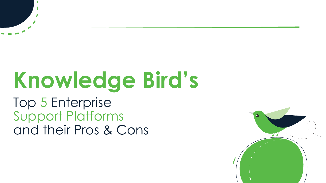# **Knowledge Bird's**  Top 5 Enterprise Support Platforms and their Pros & Cons

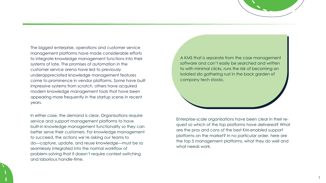The biggest enterprise, operations and customer service management platforms have made considerable efforts to integrate knowledge management functions into their systems of late. The promises of automation in the customer service arena have led to previously underappreciated knowledge management features come to prominence in vendor platforms. Some have built impressive systems from scratch, others have acquired modern knowledge management tools that have been appearing more frequently in the startup scene in recent years.

In either case, the demand is clear. Organisations require service and support management platforms to have built-in knowledge management functionality so they can better serve their customers. For knowledge management to succeed, the actions we're asking our teams to do—capture, update, and reuse knowledge—must be so seamlessly integrated into the normal workflow of problem-solving that it doesn't require context switching and laborious handle-time.

Enterprise-scale organisations have been clear in their request so which of the top platforms have delivered? What are the pros and cons of the best KM-enabled support platforms on the market? In no particular order, here are the top 5 management platforms, what they do well and what needs work.

A KMS that is separate from the case management software and can't easily be searched and written to with minimal clicks, runs the risk of becoming an isolated silo gathering rust in the back garden of company tech stacks.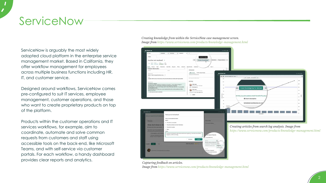ServiceNow is arguably the most widely adopted cloud platform in the enterprise service management market. Based in California, they offer workflow management for employees across multiple business functions including HR, IT, and customer service.

Designed around workflows, ServiceNow comes pre-configured to suit IT services, employee management, customer operations, and those who want to create proprietary products on top of the platform.

Products within the customer operations and IT services workflows, for example, aim to coordinate, automate and solve common requests from customers and staff using accessible tools on the back-end, like Microsoft Teams, and with self-service via customer portals. For each workflow, a handy dashboard provides clear reports and analytics.

# ServiceNow

#### *Creating knowledge from within the ServiceNow case management screen. Image from https://www.servicenow.com/products/knowledge-management.html*

| Go Initiate                                         | CS0020008                                                                                                                                                                                                                                                                            | CS0020032<br>$\otimes$  | CS0020033<br>œ      | ÷<br>$\infty$       |                                                                          |                        |  |
|-----------------------------------------------------|--------------------------------------------------------------------------------------------------------------------------------------------------------------------------------------------------------------------------------------------------------------------------------------|-------------------------|---------------------|---------------------|--------------------------------------------------------------------------|------------------------|--|
| Details                                             |                                                                                                                                                                                                                                                                                      |                         |                     |                     |                                                                          | Create Knowledge       |  |
| Invoice not received<br>Aissunt Centact<br>⊛        | $\circ$<br>Privata<br><b>State</b>                                                                                                                                                                                                                                                   |                         |                     |                     | Co                                                                       | Create Knowledge<br>ତ  |  |
| $51$ As $f11$<br>Details                            | Boseo Adie Lewis * 1-Monete<br>Dpen<br>Interactions:<br>Tasks                                                                                                                                                                                                                        | Tack Skills<br>Requests | Phone<br>Emails (1) | <b>Appointments</b> | Escalations                                                              | more -                 |  |
| - Closure Information<br>$\mathcal{A}_\mathcal{R}$  |                                                                                                                                                                                                                                                                                      |                         |                     | Compose             |                                                                          |                        |  |
| Cleved by                                           |                                                                                                                                                                                                                                                                                      | <b>Cleaning</b>         |                     |                     |                                                                          |                        |  |
| Resistants code                                     | Solved - Fixed by Support/Guidance prov .                                                                                                                                                                                                                                            |                         |                     |                     | A Comments<br>Type your Comments here                                    | A Work notes (Private) |  |
|                                                     |                                                                                                                                                                                                                                                                                      |                         |                     |                     |                                                                          |                        |  |
| Count                                               |                                                                                                                                                                                                                                                                                      |                         |                     |                     |                                                                          |                        |  |
|                                                     | Customer didn't receive invoice because they moved locations and address didn't get updated.                                                                                                                                                                                         |                         |                     |                     | (g)- Everyone can see this convinced                                     |                        |  |
| Newsful due notice                                  |                                                                                                                                                                                                                                                                                      |                         |                     |                     | Activity                                                                 |                        |  |
| To change your address:                             | 1) Use the virtual agent to guide you through the conversation. Just say 'address change' or<br>something similar. The virtual agent will prompt you through the conversation.<br>2) Alternately, go to your Account settings, select Contact Information, then Edit. You can update |                         |                     |                     | John Jason<br>3018 I.3 El 11 mi 34 + field champia<br>State Open was New |                        |  |
| your billing address there.<br>address information. | 3) The third option is to contact your account representative, who can also update your billing                                                                                                                                                                                      |                         |                     |                     | John Jason<br>2018-11-12 11:00:04 + Field (Forger)                       |                        |  |

*Capturing feedback on articles. Image from https://www.servicenow.com/products/knowledge-management.html*

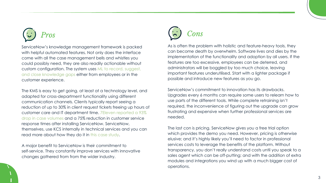

The KMS is easy to get going, at least at a technology level, and adapted for cross-department functionality using different communication channels. Clients typically report seeing a reduction of up to 30% in client request tickets freeing up hours of customer care and IT department time. [7Eleven reported a 93%](https://www.servicenow.com/customers/7-eleven.html)  [drop in case volumes](https://www.servicenow.com/customers/7-eleven.html) and a 75% reduction in customer service response times after installing ServiceNow. ServiceNow, themselves, use KCS internally in technical services and you can read more about how they do it in [this case study.](https://www.servicenow.com/content/dam/servicenow-assets/public/en-us/doc-type/resource-center/case-study/knowledge-management-and-kcs-sn-case-study.pdf)

ServiceNow's knowledge management framework is packed with helpful automated features. Not only does the interface come with all the case management bells and whistles you could possibly need, they are also readily actionable without custom configuration. The system uses [ML to record, suggest,](https://www.servicenow.com/products/knowledge-management.html?campid=32717&cid=p:csm:dg:b:prsp:exa:goog_emea_all_en_CSMT_prsp_Brand:emea:all&s_kwcid=AL!11692!3!513199001187!e!!g!!servicenow%20knowledge%20management&ds_c=GOOG_EMEA_ALL_EN_DEMANDGEN_CSMT_PRSP_Brand_EXA_Top-RES&cmcid=71700000082524675&ds_ag=ServiceNow+Knowledge+Management_EXA&cmpid=58700006979019151&ds_kids=p62820358968&gclid=Cj0KCQjwhr2FBhDbARIsACjwLo1Ehx7vJ6ZgXaj_pdrocRNzb3utPuVcWgzEEOFEbPQfkV9_v_NkJF8aAvhgEALw_wcB&gclsrc=aw.ds)  [and close knowledge gaps](https://www.servicenow.com/products/knowledge-management.html?campid=32717&cid=p:csm:dg:b:prsp:exa:goog_emea_all_en_CSMT_prsp_Brand:emea:all&s_kwcid=AL!11692!3!513199001187!e!!g!!servicenow%20knowledge%20management&ds_c=GOOG_EMEA_ALL_EN_DEMANDGEN_CSMT_PRSP_Brand_EXA_Top-RES&cmcid=71700000082524675&ds_ag=ServiceNow+Knowledge+Management_EXA&cmpid=58700006979019151&ds_kids=p62820358968&gclid=Cj0KCQjwhr2FBhDbARIsACjwLo1Ehx7vJ6ZgXaj_pdrocRNzb3utPuVcWgzEEOFEbPQfkV9_v_NkJF8aAvhgEALw_wcB&gclsrc=aw.ds) either from employees or in the customer experience.

A major benefit to ServiceNow is their commitment to self-service. They constantly improve services with innovative changes gathered from from the wider industry.



As is often the problem with holistic and feature-heavy tools, they can become death by overwhelm. Software lives and dies by the implementation of the functionality and adoption by all users. If the features are too excessive, employees can be deterred, and administrators will be boggled by too much choice, leaving important features underutilised. Start with a lighter package if possible and introduce new features as you go.

ServiceNow's commitment to innovation has its drawbacks. Upgrades every 6 months can require some users to relearn how to use parts of the different tools. While complete retraining isn't required, the inconvenience of figuring out the upgrade can grow frustrating and expensive when further professional services are needed.

The last con is pricing. ServiceNow gives you a free trial option which provides the demo you need. However, pricing is otherwise elusive; and it's highly likely you'll need to factor in professional services costs to leverage the benefits of the platform. Without transparency, you don't really understand costs until you speak to a sales agent which can be off-putting; and with the addition of extra modules and integrations you wind up with a much bigger cost of operations.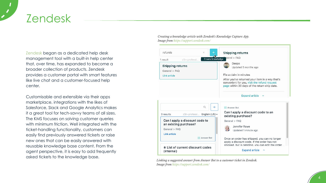[Zendesk](https://www.zendesk.com/) began as a dedicated help desk management tool with a built-in help center that, over time, has expanded to become a broader collection of products. Zendesk provides a customer portal with smart features like live chat and a customer-focused help center.

Customisable and extensible via their apps marketplace, integrations with the likes of Salesforce, Slack and Google Analytics makes it a great tool for tech-savvy teams of all sizes. The KMS focuses on solving customer queries with minimum friction. Well integrated with the ticket-handling functionality, customers can easily find previously answered tickets or raise new ones that can be easily answered with reusable knowledge base content. From the agent perspective, it is easy to add frequently asked tickets to the knowledge base.

# Zendesk

*Linking a suggested answer from Answer Bot to a customer ticket in Zendesk. Image from https://support.zendesk.com/*





### *Creating a knowledge article with Zendesk's Knowledge Capture App. Image from https://support.zendesk.com/*

| refunds                 |                                                         | ×              |            |
|-------------------------|---------------------------------------------------------|----------------|------------|
| 1 result                | z3n-professi                                            |                | Create kno |
| <b>Shipping returns</b> |                                                         |                |            |
| General > FAQ           |                                                         |                |            |
| <b>Link article</b>     |                                                         |                |            |
|                         |                                                         |                |            |
|                         |                                                         |                |            |
|                         |                                                         |                |            |
|                         |                                                         |                |            |
|                         |                                                         | Q              |            |
| 3 results               | z3n-professi  English (US)                              |                |            |
|                         | Can I apply a discount code to<br>an existing purchase? |                |            |
| General > FAQ           |                                                         |                |            |
| <b>Link article</b>     |                                                         |                |            |
|                         |                                                         | · · Answer Bot |            |
| (internal)              | a List of current discount codes                        |                |            |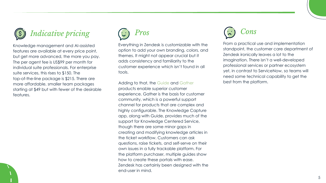

Knowledge management and AI-assisted features are available at every price point, but get more advanced, the more you pay. The per agent fee is US\$99 per month for individual suite professionals. For enterprise suite services, this rises to \$150. The top-of-the-line package is \$215. There are more affordable, smaller team packages starting at \$49 but with fewer of the desirable features.



From a practical use and implementation standpoint, the customer care department of Zendesk ironically leaves a lot to the imagination. There isn't a well-developed professional services or partner ecosystem yet, in contrast to ServiceNow, so teams will need some technical capability to get the best from the platform.



Everything in Zendesk is customizable with the option to add your own branding, colors, and themes. It might not appear crucial but it adds consistency and familiarity to the customer experience which isn't found in all tools.

Adding to that, the [Guide](https://www.zendesk.com/service/help-center/) and [Gather](https://www.zendesk.com/service/community-forum/)  products enable superior customer experience. Gather is the basis for customer community, which is a powerful support channel for products that are complex and highly configurable. The Knowledge Capture app, along with Guide, provides much of the support for Knowledge Centered Service, though there are some minor gaps in creating and modifying knowledge articles in the ticket workflow. Customers can ask questions, raise tickets, and self-serve on their own issues in a fully trackable platform. For the platform purchaser, multiple guides show how to create these portals with ease. Zendesk has certainly been designed with the end-user in mind.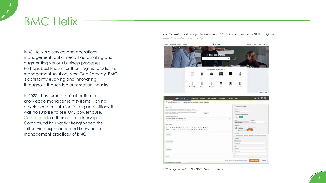BMC Helix is a service and operations management tool aimed at automating and augmenting various business processes. Perhaps best known for their flagship predictive management solution, Next Gen Remedy, BMC is constantly evolving and innovating throughout the service automation industry.

In 2020, they turned their attention to knowledge management systems. Having developed a reputation for big acquisitions, it was no surprise to see KMS powerhouse, [Comaround,](https://www.comaround.com/en/news/bmc-acquires-comaround/) as their next partnership. Comaround has vastly strengthened the self-service experience and knowledge management practices of BMC.

# BMC Helix

*KCS template within the BMC Helix interface.*

*The Electrolux customer portal powered by BMC & Comaround with KCS workflows.* 

### *https://www.electrolux.se/support/*

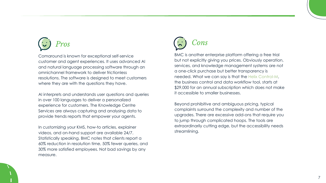# *Pros*

Comaround is known for exceptional self-service customer and agent experiences. It uses advanced AI and natural language processing software through an omnichannel framework to deliver frictionless resolutions. The software is designed to meet customers where they are with the questions they have.

AI interprets and understands user questions and queries in over 100 languages to deliver a personalized experience for customers. The Knowledge Centre Services are always capturing and analysing data to provide trends reports that empower your agents.

In customizing your KMS, how-to articles, explainer videos, and on-hand support are available 24/7. Statistically speaking, BMC notes that clients report a 60% reduction in resolution time, 50% fewer queries, and 30% more satisfied employees. Not bad savings by any measure.

# *Cons*

BMC is another enterprise platform offering a free trial but not explicitly giving you prices. Obviously operation, services, and knowledge management systems are not a one-click purchase but better transparency is needed. What we can say is that the [Helix Control-M,](https://www.bmcsoftware.pt/it-solutions/bmc-helix-control-m-pricing.html)  the business control and data workflow tool, starts at \$29,000 for an annual subscription which does not make it accessible to smaller businesses.

Beyond prohibitive and ambiguous pricing, typical complaints surround the complexity and number of the upgrades. There are excessive add-ons that require you to jump through complicated hoops. The tools are extraordinarily cutting edge, but the accessibility needs streamlining.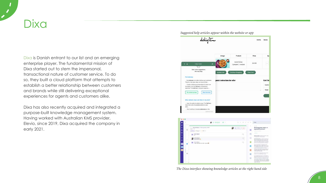[Dixa](https://www.dixa.com/why-dixa/?utm_medium=paidsearch&utm_source=google&utm_campaign=att_mql_search_1901122784_uk_en_search&utm_content=undefined&utm_term=dixa&gclid=Cj0KCQjwhr2FBhDbARIsACjwLo3s_5KBihoQzixqytpSLsth_tOJ-13bLY0HMaKl0QoHr9YP0RgmIAUaAiqbEALw_wcB) is Danish entrant to our list and an emerging enterprise player. The fundamental mission of Dixa started out to stem the impersonal, transactional nature of customer service. To do so, they built a cloud platform that attempts to establish a better relationship between customers and brands while still delivering exceptional experiences for agents and customers alike.

Dixa has also recently acquired and integrated a purpose-built knowledge management system. Having worked with Australian KMS provider, Elevio, since 2019, Dixa acquired the company in early 2021.

# Dixa

*The Dixa interface showing knowledge articles at the right hand side*



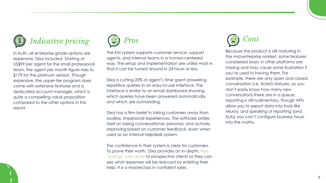

## *Indicative pricing*

In truth, all enterprise grade options are expensive, Dixa included. Starting at US\$99 per agent for the small professional team, the agent per month figure rises to \$179 for the platinum version. Though expensive, the upper-tier program does come with extensive features and a dedicated account manager, which is quite a compelling value proposition compared to the other options in this report.



Because the product is still maturing in the mid-enterprise market, some features considered basic in other platforms are missing and may cause some frustration if you're used to having them. For example, there are only open and closed conversation (i.e. ticket) statuses, so you don't easily know how many new conversations there are in a queue; reporting is still rudimentary, though APIs allow you to export data into tools like Miuros; and speaking of reporting (and SLAs) you can't configure business hours into the maths.



The KM system supports customer service, support agents, and internal teams in a human-centered way. The setup and implementation are unlike most in that it can be turned around in 24 hours or less.

Dixa is cutting 20% of agent's time spent answering repetitive queries in an easy-to-use interface. The interface is similar to an email dashboard showing which queries have been answered automatically and which are outstanding.

Dixa has a firm belief in taking customers away from soulless, impersonal experiences. The software prides itself on being conversational, personal, and actively improving based on customer feedback, even when used as an internal helpdesk system.

The confidence in their system is clear for customers. To prove their worth, Dixa provides an in-depth, [free](https://www.dixa.com/why-dixa/?utm_medium=paidsearch&utm_source=google&utm_campaign=att_mql_search_1901122784_uk_en_search&utm_content=undefined&utm_term=dixa&gclid=Cj0KCQjwhr2FBhDbARIsACjwLo3s_5KBihoQzixqytpSLsth_tOJ-13bLY0HMaKl0QoHr9YP0RgmIAUaAiqbEALw_wcB)  ['savings' calculator](https://www.dixa.com/why-dixa/?utm_medium=paidsearch&utm_source=google&utm_campaign=att_mql_search_1901122784_uk_en_search&utm_content=undefined&utm_term=dixa&gclid=Cj0KCQjwhr2FBhDbARIsACjwLo3s_5KBihoQzixqytpSLsth_tOJ-13bLY0HMaKl0QoHr9YP0RgmIAUaAiqbEALw_wcB) to prospective clients so they can see what expenses will be reduced by enlisting their help. It is a masterclass in confident sales.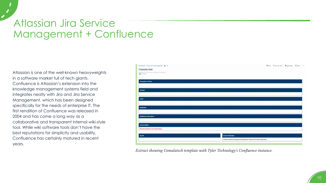Atlassian is one of the well-known heavyweights in a software market full of tech giants. Confluence is Atlassian's extension into the knowledge management systems field and integrates neatly with Jira and Jira Service Management, which has been designed specifically for the needs of enterprise IT. The first rendition of Confluence was released in 2004 and has come a long way as a collaborative and transparent internal wiki-style tool. While wiki software tools don't have the best reputations for simplicity and usability, Confluence has certainly matured in recent years.

## Atlassian Jira Service Management + Confluence



*Extract showing Comalatech template with Tyler Technology's Confluence instance.*

|                                                                        | $P$ Edit |  |  |
|------------------------------------------------------------------------|----------|--|--|
|                                                                        |          |  |  |
|                                                                        |          |  |  |
|                                                                        |          |  |  |
|                                                                        |          |  |  |
|                                                                        |          |  |  |
|                                                                        |          |  |  |
|                                                                        |          |  |  |
|                                                                        |          |  |  |
|                                                                        |          |  |  |
|                                                                        |          |  |  |
|                                                                        |          |  |  |
| <b>Content Standard</b>                                                |          |  |  |
| Article structure is important! Questions? Check the Content Standard. |          |  |  |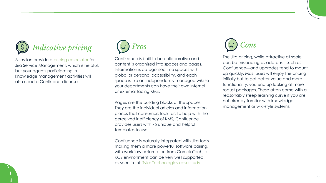

Atlassian provide a [pricing calculator](https://www.atlassian.com/software/jira/service-management/pricing#pricing-calculator) for Jira Service Management, which is helpful, but your agents participating in knowledge management activities will also need a Confluence license.



Confluence is built to be collaborative and content is organized into spaces and pages. Information is categorised into spaces with global or personal accessibility, and each space is like an independently managed wiki so your departments can have their own internal or external facing KMS.

Pages are the building blocks of the spaces. They are the individual articles and information pieces that consumers look for. To help with the perceived inefficiency of KMS, Confluence provides users with 75 unique and helpful templates to use.

Confluence is naturally integrated with Jira tools making them a more powerful software pairing, with workflow automation from ComalaTech, a KCS environment can be very well supported, as seen in this [Tyler Technologies case study.](https://community.atlassian.com/t5/Marketplace-Apps-Integrations/Tyler-Technologies-creates-knowledge-base-for-customer-success/ba-p/1434309)



The Jira pricing, while attractive at scale, can be misleading as add-ons—such as Confluence—and upgrades tend to mount up quickly. Most users will enjoy the pricing initially but to get better value and more functionality, you end up looking at more robust packages. These often come with a reasonably steep learning curve if you are not already familiar with knowledge management or wiki-style systems.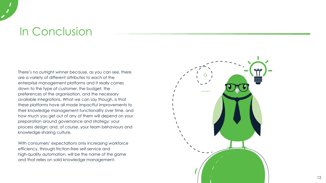There's no outright winner because, as you can see, there are a variety of different attributes to each of the enterprise management platforms and it really comes down to the type of customer, the budget, the preferences of the organisation, and the necessary available integrations. What we can say though, is that these platforms have all made impactful improvements to their knowledge management functionality over time, and how much you get out of any of them will depend on your preparation around governance and strategy; your process design; and, of course, your team behaviours and knowledge-sharing culture.

With consumers' expectations only increasing workforce efficiency, through friction-free self-service and high-quality automation, will be the name of the game and that relies on solid knowledge management.



# In Conclusion